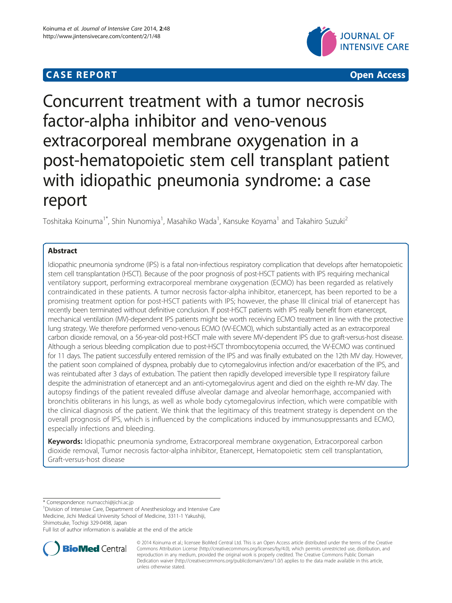# **CASE REPORT CASE ACCESS**





# Concurrent treatment with a tumor necrosis factor-alpha inhibitor and veno-venous extracorporeal membrane oxygenation in a post-hematopoietic stem cell transplant patient with idiopathic pneumonia syndrome: a case report

Toshitaka Koinuma<sup>1\*</sup>, Shin Nunomiya<sup>1</sup>, Masahiko Wada<sup>1</sup>, Kansuke Koyama<sup>1</sup> and Takahiro Suzuki<sup>2</sup>

# Abstract

Idiopathic pneumonia syndrome (IPS) is a fatal non-infectious respiratory complication that develops after hematopoietic stem cell transplantation (HSCT). Because of the poor prognosis of post-HSCT patients with IPS requiring mechanical ventilatory support, performing extracorporeal membrane oxygenation (ECMO) has been regarded as relatively contraindicated in these patients. A tumor necrosis factor-alpha inhibitor, etanercept, has been reported to be a promising treatment option for post-HSCT patients with IPS; however, the phase III clinical trial of etanercept has recently been terminated without definitive conclusion. If post-HSCT patients with IPS really benefit from etanercept, mechanical ventilation (MV)-dependent IPS patients might be worth receiving ECMO treatment in line with the protective lung strategy. We therefore performed veno-venous ECMO (VV-ECMO), which substantially acted as an extracorporeal carbon dioxide removal, on a 56-year-old post-HSCT male with severe MV-dependent IPS due to graft-versus-host disease. Although a serious bleeding complication due to post-HSCT thrombocytopenia occurred, the VV-ECMO was continued for 11 days. The patient successfully entered remission of the IPS and was finally extubated on the 12th MV day. However, the patient soon complained of dyspnea, probably due to cytomegalovirus infection and/or exacerbation of the IPS, and was reintubated after 3 days of extubation. The patient then rapidly developed irreversible type II respiratory failure despite the administration of etanercept and an anti-cytomegalovirus agent and died on the eighth re-MV day. The autopsy findings of the patient revealed diffuse alveolar damage and alveolar hemorrhage, accompanied with bronchitis obliterans in his lungs, as well as whole body cytomegalovirus infection, which were compatible with the clinical diagnosis of the patient. We think that the legitimacy of this treatment strategy is dependent on the overall prognosis of IPS, which is influenced by the complications induced by immunosuppressants and ECMO, especially infections and bleeding.

Keywords: Idiopathic pneumonia syndrome, Extracorporeal membrane oxygenation, Extracorporeal carbon dioxide removal, Tumor necrosis factor-alpha inhibitor, Etanercept, Hematopoietic stem cell transplantation, Graft-versus-host disease

\* Correspondence: [numacchi@jichi.ac.jp](mailto:numacchi@jichi.ac.jp) <sup>1</sup>

<sup>1</sup> Division of Intensive Care, Department of Anesthesiology and Intensive Care Medicine, Jichi Medical University School of Medicine, 3311-1 Yakushiji, Shimotsuke, Tochigi 329-0498, Japan

Full list of author information is available at the end of the article



© 2014 Koinuma et al.; licensee BioMed Central Ltd. This is an Open Access article distributed under the terms of the Creative Commons Attribution License [\(http://creativecommons.org/licenses/by/4.0\)](http://creativecommons.org/licenses/by/4.0), which permits unrestricted use, distribution, and reproduction in any medium, provided the original work is properly credited. The Creative Commons Public Domain Dedication waiver [\(http://creativecommons.org/publicdomain/zero/1.0/](http://creativecommons.org/publicdomain/zero/1.0/)) applies to the data made available in this article, unless otherwise stated.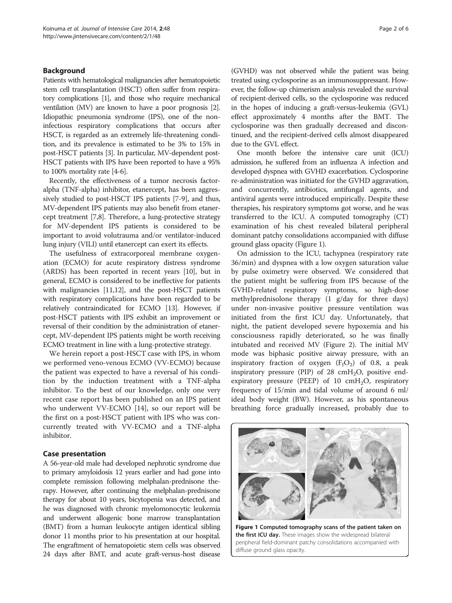# Background

Patients with hematological malignancies after hematopoietic stem cell transplantation (HSCT) often suffer from respiratory complications [\[1\]](#page-4-0), and those who require mechanical ventilation (MV) are known to have a poor prognosis [[2](#page-4-0)]. Idiopathic pneumonia syndrome (IPS), one of the noninfectious respiratory complications that occurs after HSCT, is regarded as an extremely life-threatening condition, and its prevalence is estimated to be 3% to 15% in post-HSCT patients [[3](#page-4-0)]. In particular, MV-dependent post-HSCT patients with IPS have been reported to have a 95% to 100% mortality rate [\[4-6](#page-4-0)].

Recently, the effectiveness of a tumor necrosis factoralpha (TNF-alpha) inhibitor, etanercept, has been aggressively studied to post-HSCT IPS patients [[7-9](#page-4-0)], and thus, MV-dependent IPS patients may also benefit from etanercept treatment [\[7,8](#page-4-0)]. Therefore, a lung-protective strategy for MV-dependent IPS patients is considered to be important to avoid volutrauma and/or ventilator-induced lung injury (VILI) until etanercept can exert its effects.

The usefulness of extracorporeal membrane oxygenation (ECMO) for acute respiratory distress syndrome (ARDS) has been reported in recent years [[10](#page-4-0)], but in general, ECMO is considered to be ineffective for patients with malignancies [\[11,12](#page-4-0)], and the post-HSCT patients with respiratory complications have been regarded to be relatively contraindicated for ECMO [\[13\]](#page-5-0). However, if post-HSCT patients with IPS exhibit an improvement or reversal of their condition by the administration of etanercept, MV-dependent IPS patients might be worth receiving ECMO treatment in line with a lung-protective strategy.

We herein report a post-HSCT case with IPS, in whom we performed veno-venous ECMO (VV-ECMO) because the patient was expected to have a reversal of his condition by the induction treatment with a TNF-alpha inhibitor. To the best of our knowledge, only one very recent case report has been published on an IPS patient who underwent VV-ECMO [\[14](#page-5-0)], so our report will be the first on a post-HSCT patient with IPS who was concurrently treated with VV-ECMO and a TNF-alpha inhibitor.

# Case presentation

A 56-year-old male had developed nephrotic syndrome due to primary amyloidosis 12 years earlier and had gone into complete remission following melphalan-prednisone therapy. However, after continuing the melphalan-prednisone therapy for about 10 years, bicytopenia was detected, and he was diagnosed with chronic myelomonocytic leukemia and underwent allogenic bone marrow transplantation (BMT) from a human leukocyte antigen identical sibling donor 11 months prior to his presentation at our hospital. The engraftment of hematopoietic stem cells was observed 24 days after BMT, and acute graft-versus-host disease (GVHD) was not observed while the patient was being treated using cyclosporine as an immunosuppressant. However, the follow-up chimerism analysis revealed the survival of recipient-derived cells, so the cyclosporine was reduced in the hopes of inducing a graft-versus-leukemia (GVL) effect approximately 4 months after the BMT. The cyclosporine was then gradually decreased and discontinued, and the recipient-derived cells almost disappeared due to the GVL effect.

One month before the intensive care unit (ICU) admission, he suffered from an influenza A infection and developed dyspnea with GVHD exacerbation. Cyclosporine re-administration was initiated for the GVHD aggravation, and concurrently, antibiotics, antifungal agents, and antiviral agents were introduced empirically. Despite these therapies, his respiratory symptoms got worse, and he was transferred to the ICU. A computed tomography (CT) examination of his chest revealed bilateral peripheral dominant patchy consolidations accompanied with diffuse ground glass opacity (Figure 1).

On admission to the ICU, tachypnea (respiratory rate 36/min) and dyspnea with a low oxygen saturation value by pulse oximetry were observed. We considered that the patient might be suffering from IPS because of the GVHD-related respiratory symptoms, so high-dose methylprednisolone therapy (1 g/day for three days) under non-invasive positive pressure ventilation was initiated from the first ICU day. Unfortunately, that night, the patient developed severe hypoxemia and his consciousness rapidly deteriorated, so he was finally intubated and received MV (Figure [2](#page-2-0)). The initial MV mode was biphasic positive airway pressure, with an inspiratory fraction of oxygen  $(F_1O_2)$  of 0.8, a peak inspiratory pressure (PIP) of 28  $\text{cm}H_2\text{O}$ , positive endexpiratory pressure (PEEP) of 10  $cmH<sub>2</sub>O$ , respiratory frequency of 15/min and tidal volume of around 6 ml/ ideal body weight (BW). However, as his spontaneous breathing force gradually increased, probably due to



Figure 1 Computed tomography scans of the patient taken on the first ICU day. These images show the widespread bilateral peripheral field-dominant patchy consolidations accompanied with diffuse ground glass opacity.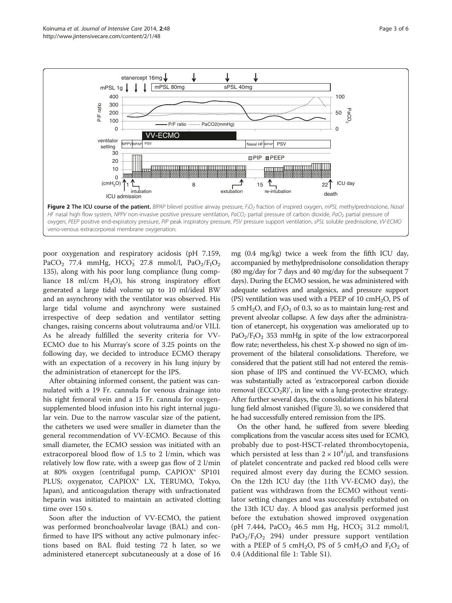<span id="page-2-0"></span>

poor oxygenation and respiratory acidosis (pH 7.159, PaCO<sub>2</sub> 77.4 mmHg, HCO<sub>3</sub> 27.8 mmol/l, PaO<sub>2</sub>/F<sub>I</sub>O<sub>2</sub> 135), along with his poor lung compliance (lung compliance 18 ml/cm  $H_2O$ , his strong inspiratory effort generated a large tidal volume up to 10 ml/ideal BW and an asynchrony with the ventilator was observed. His large tidal volume and asynchrony were sustained irrespective of deep sedation and ventilator setting changes, raising concerns about volutrauma and/or VILI. As he already fulfilled the severity criteria for VV-ECMO due to his Murray's score of 3.25 points on the following day, we decided to introduce ECMO therapy with an expectation of a recovery in his lung injury by the administration of etanercept for the IPS.

After obtaining informed consent, the patient was cannulated with a 19 Fr. cannula for venous drainage into his right femoral vein and a 15 Fr. cannula for oxygensupplemented blood infusion into his right internal jugular vein. Due to the narrow vascular size of the patient, the catheters we used were smaller in diameter than the general recommendation of VV-ECMO. Because of this small diameter, the ECMO session was initiated with an extracorporeal blood flow of 1.5 to 2 l/min, which was relatively low flow rate, with a sweep gas flow of 2 l/min at 80% oxygen (centrifugal pump, CAPIOX® SP101 PLUS; oxygenator, CAPIOX® LX, TERUMO, Tokyo, Japan), and anticoagulation therapy with unfractionated heparin was initiated to maintain an activated clotting time over 150 s.

Soon after the induction of VV-ECMO, the patient was performed bronchoalveolar lavage (BAL) and confirmed to have IPS without any active pulmonary infections based on BAL fluid testing 72 h later, so we administered etanercept subcutaneously at a dose of 16

mg (0.4 mg/kg) twice a week from the fifth ICU day, accompanied by methylprednisolone consolidation therapy (80 mg/day for 7 days and 40 mg/day for the subsequent 7 days). During the ECMO session, he was administered with adequate sedatives and analgesics, and pressure support (PS) ventilation was used with a PEEP of 10  $\text{cm}H_2\text{O}$ , PS of 5 cmH<sub>2</sub>O, and  $F_1O_2$  of 0.3, so as to maintain lung-rest and prevent alveolar collapse. A few days after the administration of etanercept, his oxygenation was ameliorated up to  $PaO<sub>2</sub>/F<sub>1</sub>O<sub>2</sub>$  353 mmHg in spite of the low extracorporeal flow rate; nevertheless, his chest X-p showed no sign of improvement of the bilateral consolidations. Therefore, we considered that the patient still had not entered the remission phase of IPS and continued the VV-ECMO, which was substantially acted as 'extracorporeal carbon dioxide removal  $(ECCO<sub>2</sub>R)'$ , in line with a lung-protective strategy. After further several days, the consolidations in his bilateral lung field almost vanished (Figure [3](#page-3-0)), so we considered that he had successfully entered remission from the IPS.

On the other hand, he suffered from severe bleeding complications from the vascular access sites used for ECMO, probably due to post-HSCT-related thrombocytopenia, which persisted at less than  $2 \times 10^4$ / $\mu$ l, and transfusions of platelet concentrate and packed red blood cells were required almost every day during the ECMO session. On the 12th ICU day (the 11th VV-ECMO day), the patient was withdrawn from the ECMO without ventilator setting changes and was successfully extubated on the 13th ICU day. A blood gas analysis performed just before the extubation showed improved oxygenation (pH 7.444, PaCO<sub>2</sub> 46.5 mm Hg, HCO<sub>3</sub> 31.2 mmol/l,  $PaO<sub>2</sub>/F<sub>1</sub>O<sub>2</sub>$  294) under pressure support ventilation with a PEEP of 5 cmH<sub>2</sub>O, PS of 5 cmH<sub>2</sub>O and  $F_1O_2$  of 0.4 (Additional file [1:](#page-4-0) Table S1).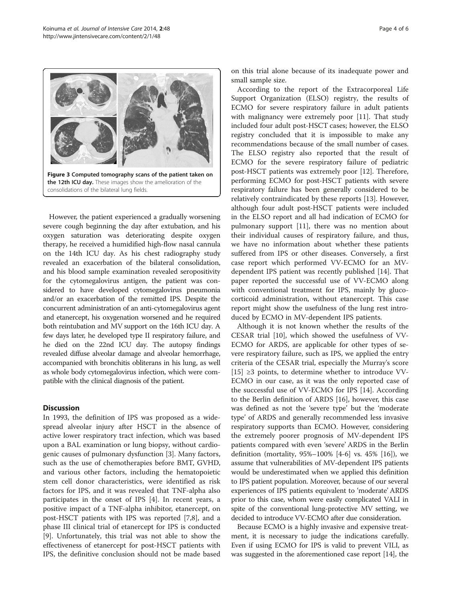<span id="page-3-0"></span>

However, the patient experienced a gradually worsening severe cough beginning the day after extubation, and his oxygen saturation was deteriorating despite oxygen therapy, he received a humidified high-flow nasal cannula on the 14th ICU day. As his chest radiography study revealed an exacerbation of the bilateral consolidation, and his blood sample examination revealed seropositivity for the cytomegalovirus antigen, the patient was considered to have developed cytomegalovirus pneumonia and/or an exacerbation of the remitted IPS. Despite the concurrent administration of an anti-cytomegalovirus agent and etanercept, his oxygenation worsened and he required both reintubation and MV support on the 16th ICU day. A few days later, he developed type II respiratory failure, and he died on the 22nd ICU day. The autopsy findings revealed diffuse alveolar damage and alveolar hemorrhage, accompanied with bronchitis obliterans in his lung, as well as whole body cytomegalovirus infection, which were compatible with the clinical diagnosis of the patient.

# **Discussion**

In 1993, the definition of IPS was proposed as a widespread alveolar injury after HSCT in the absence of active lower respiratory tract infection, which was based upon a BAL examination or lung biopsy, without cardiogenic causes of pulmonary dysfunction [[3](#page-4-0)]. Many factors, such as the use of chemotherapies before BMT, GVHD, and various other factors, including the hematopoietic stem cell donor characteristics, were identified as risk factors for IPS, and it was revealed that TNF-alpha also participates in the onset of IPS [[4\]](#page-4-0). In recent years, a positive impact of a TNF-alpha inhibitor, etanercept, on post-HSCT patients with IPS was reported [\[7](#page-4-0),[8](#page-4-0)], and a phase III clinical trial of etanercept for IPS is conducted [[9\]](#page-4-0). Unfortunately, this trial was not able to show the effectiveness of etanercept for post-HSCT patients with IPS, the definitive conclusion should not be made based

on this trial alone because of its inadequate power and small sample size.

According to the report of the Extracorporeal Life Support Organization (ELSO) registry, the results of ECMO for severe respiratory failure in adult patients with malignancy were extremely poor [\[11\]](#page-4-0). That study included four adult post-HSCT cases; however, the ELSO registry concluded that it is impossible to make any recommendations because of the small number of cases. The ELSO registry also reported that the result of ECMO for the severe respiratory failure of pediatric post-HSCT patients was extremely poor [[12\]](#page-4-0). Therefore, performing ECMO for post-HSCT patients with severe respiratory failure has been generally considered to be relatively contraindicated by these reports [\[13](#page-5-0)]. However, although four adult post-HSCT patients were included in the ELSO report and all had indication of ECMO for pulmonary support [[11\]](#page-4-0), there was no mention about their individual causes of respiratory failure, and thus, we have no information about whether these patients suffered from IPS or other diseases. Conversely, a first case report which performed VV-ECMO for an MVdependent IPS patient was recently published [[14](#page-5-0)]. That paper reported the successful use of VV-ECMO along with conventional treatment for IPS, mainly by glucocorticoid administration, without etanercept. This case report might show the usefulness of the lung rest introduced by ECMO in MV-dependent IPS patients.

Although it is not known whether the results of the CESAR trial [\[10\]](#page-4-0), which showed the usefulness of VV-ECMO for ARDS, are applicable for other types of severe respiratory failure, such as IPS, we applied the entry criteria of the CESAR trial, especially the Murray's score [[15\]](#page-5-0)  $\geq$ 3 points, to determine whether to introduce VV-ECMO in our case, as it was the only reported case of the successful use of VV-ECMO for IPS [[14\]](#page-5-0). According to the Berlin definition of ARDS [[16\]](#page-5-0), however, this case was defined as not the 'severe type' but the 'moderate type' of ARDS and generally recommended less invasive respiratory supports than ECMO. However, considering the extremely poorer prognosis of MV-dependent IPS patients compared with even 'severe' ARDS in the Berlin definition (mortality, 95%–100% [[4-6](#page-4-0)] vs. 45% [[16\]](#page-5-0)), we assume that vulnerabilities of MV-dependent IPS patients would be underestimated when we applied this definition to IPS patient population. Moreover, because of our several experiences of IPS patients equivalent to 'moderate' ARDS prior to this case, whom were easily complicated VALI in spite of the conventional lung-protective MV setting, we decided to introduce VV-ECMO after due consideration.

Because ECMO is a highly invasive and expensive treatment, it is necessary to judge the indications carefully. Even if using ECMO for IPS is valid to prevent VILI, as was suggested in the aforementioned case report [\[14\]](#page-5-0), the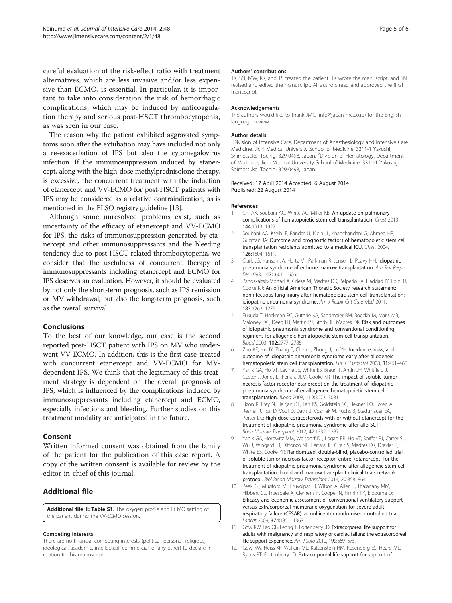<span id="page-4-0"></span>careful evaluation of the risk-effect ratio with treatment alternatives, which are less invasive and/or less expensive than ECMO, is essential. In particular, it is important to take into consideration the risk of hemorrhagic complications, which may be induced by anticoagulation therapy and serious post-HSCT thrombocytopenia, as was seen in our case.

The reason why the patient exhibited aggravated symptoms soon after the extubation may have included not only a re-exacerbation of IPS but also the cytomegalovirus infection. If the immunosuppression induced by etanercept, along with the high-dose methylprednisolone therapy, is excessive, the concurrent treatment with the induction of etanercept and VV-ECMO for post-HSCT patients with IPS may be considered as a relative contraindication, as is mentioned in the ELSO registry guideline [\[13\]](#page-5-0).

Although some unresolved problems exist, such as uncertainty of the efficacy of etanercept and VV-ECMO for IPS, the risks of immunosuppression generated by etanercept and other immunosuppressants and the bleeding tendency due to post-HSCT-related thrombocytopenia, we consider that the usefulness of concurrent therapy of immunosuppressants including etanercept and ECMO for IPS deserves an evaluation. However, it should be evaluated by not only the short-term prognosis, such as IPS remission or MV withdrawal, but also the long-term prognosis, such as the overall survival.

## Conclusions

To the best of our knowledge, our case is the second reported post-HSCT patient with IPS on MV who underwent VV-ECMO. In addition, this is the first case treated with concurrent etanercept and VV-ECMO for MVdependent IPS. We think that the legitimacy of this treatment strategy is dependent on the overall prognosis of IPS, which is influenced by the complications induced by immunosuppressants including etanercept and ECMO, especially infections and bleeding. Further studies on this treatment modality are anticipated in the future.

# Consent

Written informed consent was obtained from the family of the patient for the publication of this case report. A copy of the written consent is available for review by the editor-in-chief of this journal.

# Additional file

[Additional file 1: Table S1.](http://www.biomedcentral.com/content/supplementary/s40560-014-0048-1-s1.docx) The oxygen profile and ECMO setting of the patient during the VV-ECMO session.

#### Competing interests

There are no financial competing interests (political, personal, religious, ideological, academic, intellectual, commercial, or any other) to declare in relation to this manuscript.

#### Authors' contributions

TK, SN, MW, KK, and TS treated the patient. TK wrote the manuscript, and SN revised and edited the manuscript. All authors read and approved the final manuscript.

#### Acknowledgements

The authors would like to thank JMC (info@japan-mc.co.jp) for the English language review.

#### Author details

<sup>1</sup> Division of Intensive Care, Department of Anesthesiology and Intensive Care Medicine, Jichi Medical University School of Medicine, 3311-1 Yakushiji, Shimotsuke, Tochigi 329-0498, Japan. <sup>2</sup>Division of Hematology, Department of Medicine, Jichi Medical University School of Medicine, 3311-1 Yakushiji, Shimotsuke, Tochigi 329-0498, Japan.

#### Received: 17 April 2014 Accepted: 6 August 2014 Published: 22 August 2014

#### References

- Chi AK, Soubani AO, White AC, Miller KB: An update on pulmonary complications of hematopoietic stem cell transplantation. Chest 2013, 144:1913–1922.
- 2. Soubani AO, Kseibi E, Bander JJ, Klein JL, Khanchandani G, Ahmed HP, Guzman JA: Outcome and prognostic factors of hematopoietic stem cell transplantation recipients admitted to a medical ICU. Chest 2004, 126:1604–1611.
- 3. Clark JG, Hansen JA, Hertz MI, Parkman R, Jensen L, Peavy HH: Idiopathic pneumonia syndrome after bone marrow transplantation. Am Rev Respir Dis 1993, 147:1601–1606.
- 4. Panoskaltsis-Mortari A, Griese M, Madtes DK, Belperio JA, Haddad IY, Folz RJ, Cooke KR: An official American Thoracic Society research statement: noninfectious lung injury after hematopoietic stem cell transplantation: idiopathic pneumonia syndrome. Am J Respir Crit Care Med 2011, 183:1262–1279.
- 5. Fukuda T, Hackman RC, Guthrie KA, Sandmaier BM, Boeckh M, Maris MB, Maloney DG, Deeg HJ, Martin PJ, Storb RF, Madtes DK: Risk and outcomes of idiopathic pneumonia syndrome and conventional conditioning regimens for allogeneic hematopoietic stem cell transplantation. Blood 2003, 102:2777–2785.
- 6. Zhu KE, Hu JY, Zhang T, Chen J, Zhong J, Lu YH: Incidence, risks, and outcome of idiopathic pneumonia syndrome early after allogeneic hematopoietic stem cell transplantation. Eur J Haematol 2008, 81:461-466.
- 7. Yanik GA, Ho VT, Levine JE, White ES, Braun T, Antin JH, Whitfield J, Custer J, Jones D, Ferrara JLM, Cooke KR: The impact of soluble tumor necrosis factor receptor etanercept on the treatment of idiopathic pneumonia syndrome after allogeneic hematopoietic stem cell transplantation. Blood 2008, 112:3073–3081.
- 8. Tizon R, Frey N, Heitjan DF, Tan KS, Goldstein SC, Hexner EO, Loren A, Reshef R, Tsai D, Vogl D, Davis J, Vozniak M, Fuchs B, Stadtmauer EA, Porter DL: High-dose corticosteroids with or without etanercept for the treatment of idiopathic pneumonia syndrome after allo-SCT. Bone Marrow Transplant 2012, 47:1332–1337.
- 9. Yanik GA, Horowitz MM, Weisdorf DJ, Logan BR, Ho VT, Soiffer RJ, Carter SL, Wu J, Wingard JR, Difronzo NL, Ferrara JL, Giralt S, Madtes DK, Drexler R, White ES, Cooke KR: Randomized, double-blind, placebo-controlled trial of soluble tumor necrosis factor receptor: enbrel (etanercept) for the treatment of idiopathic pneumonia syndrome after allogeneic stem cell transplantation: blood and marrow transplant clinical trials network protocol. Biol Blood Marrow Transplant 2014, 20:858–864.
- 10. Peek GJ, Mugford M, Tiruvoipati R, Wilson A, Allen E, Thalanany MM, Hibbert CL, Truesdale A, Clemens F, Cooper N, Firmin RK, Elbourne D: Efficacy and economic assessment of conventional ventilatory support versus extracorporeal membrane oxygenation for severe adult respiratory failure (CESAR): a multicenter randomised controlled trial. Lancet 2009, 374:1351–1363.
- 11. Gow KW, Lao OB, Leong T, Fortenberry JD: Extracorporeal life support for adults with malignancy and respiratory or cardiac failure: the extracorporeal life support experience. Am J Surg 2010, 199:669-675.
- 12. Gow KW, Heiss KF, Wulkan ML, Katzenstein HM, Rosenberg ES, Heard ML, Rycus PT, Fortenberry JD: Extracorporeal life support for support of